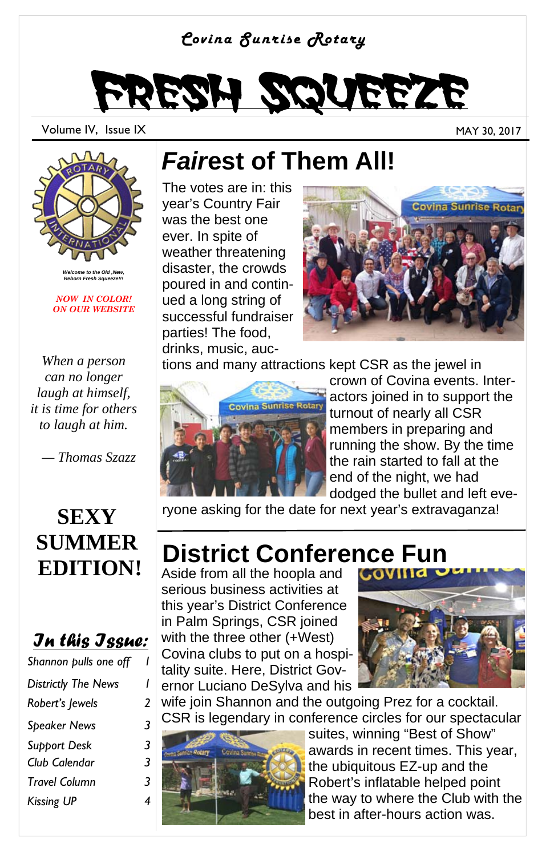#### *Covina Sunrise Rotary*

# Fresh Squeeze

Volume IV, Issue IX and the set of the set of the set of the set of the set of the MAY 30, 2017



*Welcome to the Old ,New, Reborn Fresh Squeeze!!!* 

*NOW IN COLOR! ON OUR WEBSITE* 

*When a person can no longer laugh at himself, it is time for others to laugh at him.* 

 *— Thomas Szazz* 

#### **SEXY SUMMER EDITION!**

#### *In this Issue:*

| Shannon pulls one off      |   |
|----------------------------|---|
| <b>Districtly The News</b> | ı |
| Robert's Jewels            | 2 |
| Speaker News               | 3 |
| Support Desk               | 3 |
| Club Calendar              | 3 |
| Travel Column              | 3 |
| Kissing UP                 | 4 |

### *Fair***est of Them All!**

The votes are in: this year's Country Fair was the best one ever. In spite of weather threatening disaster, the crowds poured in and continued a long string of successful fundraiser parties! The food, drinks, music, auc-



tions and many attractions kept CSR as the jewel in



crown of Covina events. Interactors joined in to support the turnout of nearly all CSR members in preparing and running the show. By the time the rain started to fall at the end of the night, we had dodged the bullet and left eve-

ryone asking for the date for next year's extravaganza!

# **District Conference Fun**<br>Aside from all the hoopla and

Aside from all the hoopla and serious business activities at this year's District Conference in Palm Springs, CSR joined with the three other (+West) Covina clubs to put on a hospitality suite. Here, District Governor Luciano DeSylva and his



wife join Shannon and the outgoing Prez for a cocktail. CSR is legendary in conference circles for our spectacular



suites, winning "Best of Show" awards in recent times. This year, the ubiquitous EZ-up and the Robert's inflatable helped point the way to where the Club with the best in after-hours action was.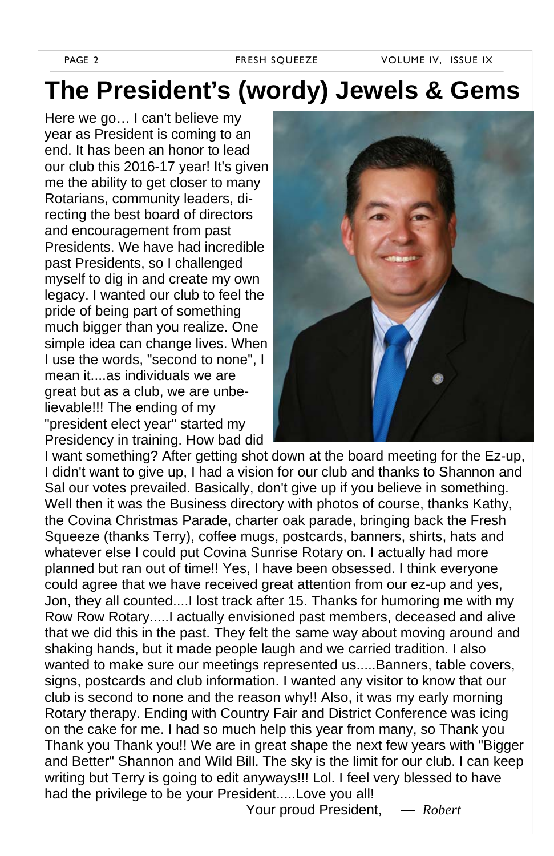PAGE 2 FRESH SQUEEZE VOLUME IV, ISSUE IX

### **The President's (wordy) Jewels & Gems**

Here we go… I can't believe my year as President is coming to an end. It has been an honor to lead our club this 2016-17 year! It's given me the ability to get closer to many Rotarians, community leaders, directing the best board of directors and encouragement from past Presidents. We have had incredible past Presidents, so I challenged myself to dig in and create my own legacy. I wanted our club to feel the pride of being part of something much bigger than you realize. One simple idea can change lives. When I use the words, "second to none", I mean it....as individuals we are great but as a club, we are unbelievable!!! The ending of my "president elect year" started my Presidency in training. How bad did



I want something? After getting shot down at the board meeting for the Ez-up, I didn't want to give up, I had a vision for our club and thanks to Shannon and Sal our votes prevailed. Basically, don't give up if you believe in something. Well then it was the Business directory with photos of course, thanks Kathy, the Covina Christmas Parade, charter oak parade, bringing back the Fresh Squeeze (thanks Terry), coffee mugs, postcards, banners, shirts, hats and whatever else I could put Covina Sunrise Rotary on. I actually had more planned but ran out of time!! Yes, I have been obsessed. I think everyone could agree that we have received great attention from our ez-up and yes, Jon, they all counted....I lost track after 15. Thanks for humoring me with my Row Row Rotary.....I actually envisioned past members, deceased and alive that we did this in the past. They felt the same way about moving around and shaking hands, but it made people laugh and we carried tradition. I also wanted to make sure our meetings represented us.....Banners, table covers, signs, postcards and club information. I wanted any visitor to know that our club is second to none and the reason why!! Also, it was my early morning Rotary therapy. Ending with Country Fair and District Conference was icing on the cake for me. I had so much help this year from many, so Thank you Thank you Thank you!! We are in great shape the next few years with "Bigger and Better" Shannon and Wild Bill. The sky is the limit for our club. I can keep writing but Terry is going to edit anyways!!! Lol. I feel very blessed to have had the privilege to be your President.....Love you all!

Your proud President, *— Robert*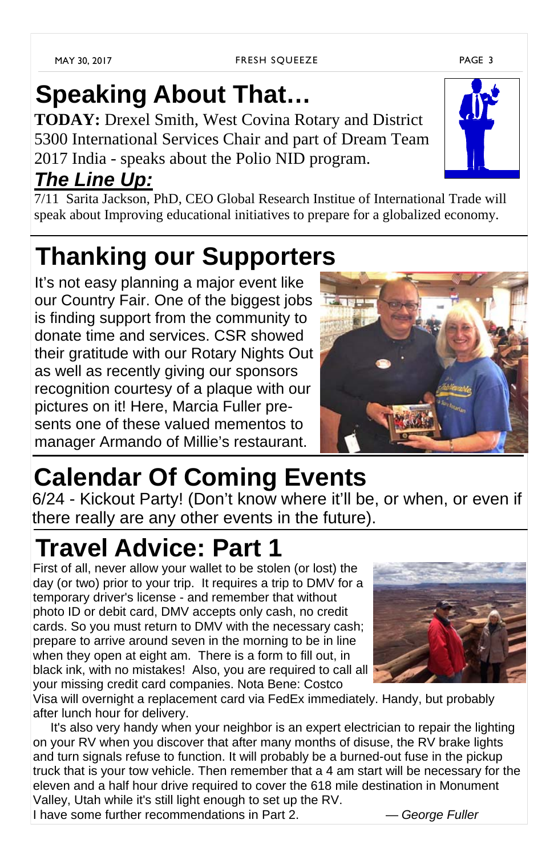# **Speaking About That…**

**TODAY:** Drexel Smith, West Covina Rotary and District 5300 International Services Chair and part of Dream Team 2017 India - speaks about the Polio NID program.

### *The Line Up:*

7/11 Sarita Jackson, PhD, CEO Global Research Institue of International Trade will speak about Improving educational initiatives to prepare for a globalized economy.

## **Thanking our Supporters**

It's not easy planning a major event like our Country Fair. One of the biggest jobs is finding support from the community to donate time and services. CSR showed their gratitude with our Rotary Nights Out as well as recently giving our sponsors recognition courtesy of a plaque with our pictures on it! Here, Marcia Fuller presents one of these valued mementos to manager Armando of Millie's restaurant.

# **Calendar Of Coming Events**

6/24 - Kickout Party! (Don't know where it'll be, or when, or even if there really are any other events in the future).

### **Travel Advice: Part 1**

First of all, never allow your wallet to be stolen (or lost) the day (or two) prior to your trip. It requires a trip to DMV for a temporary driver's license - and remember that without photo ID or debit card, DMV accepts only cash, no credit cards. So you must return to DMV with the necessary cash; prepare to arrive around seven in the morning to be in line when they open at eight am. There is a form to fill out, in black ink, with no mistakes! Also, you are required to call all your missing credit card companies. Nota Bene: Costco

Visa will overnight a replacement card via FedEx immediately. Handy, but probably after lunch hour for delivery.

 It's also very handy when your neighbor is an expert electrician to repair the lighting on your RV when you discover that after many months of disuse, the RV brake lights and turn signals refuse to function. It will probably be a burned-out fuse in the pickup truck that is your tow vehicle. Then remember that a 4 am start will be necessary for the eleven and a half hour drive required to cover the 618 mile destination in Monument Valley, Utah while it's still light enough to set up the RV.

I have some further recommendations in Part 2. — *George Fuller*